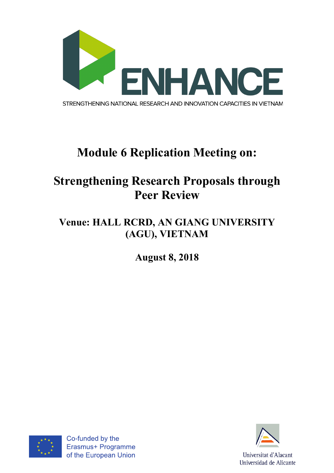

# **Module 6 Replication Meeting on:**

## **Strengthening Research Proposals through Peer Review**

### **Venue: HALL RCRD, AN GIANG UNIVERSITY (AGU), VIETNAM**

**August 8, 2018**



Co-funded by the Erasmus+ Programme of the European Union

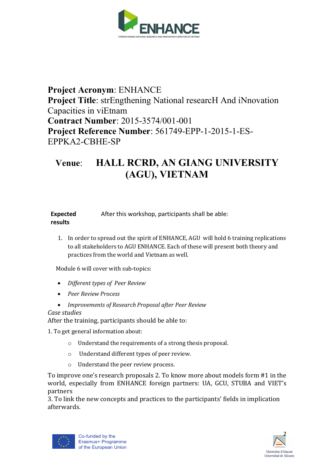

#### **Project Acronym**: ENHANCE **Project Title**: strEngthening National researcH And iNnovation Capacities in viEtnam **Contract Number**: 2015-3574/001-001 **Project Reference Number**: 561749-EPP-1-2015-1-ES-EPPKA2-CBHE-SP

#### **Venue**: **HALL RCRD, AN GIANG UNIVERSITY (AGU), VIETNAM**

**Expected results** After this workshop, participants shall be able:

1. In order to spread out the spirit of ENHANCE, AGU will hold 6 training replications to all stakeholders to AGU ENHANCE. Each of these will present both theory and practices from the world and Vietnam as well.

Module 6 will cover with sub-topics:

- *Different types of Peer Review*
- *Peer Review Process*

• *Improvements of Research Proposal after Peer Review Case studies*

After the training, participants should be able to:

1. To get general information about:

- $\circ$  Understand the requirements of a strong thesis proposal.
- o Understand different types of peer review.
- o Understand the peer review process.

To improve one's research proposals 2. To know more about models form #1 in the world, especially from ENHANCE foreign partners: UA, GCU, STUBA and VIET's partners

3. To link the new concepts and practices to the participants' fields in implication afterwards.